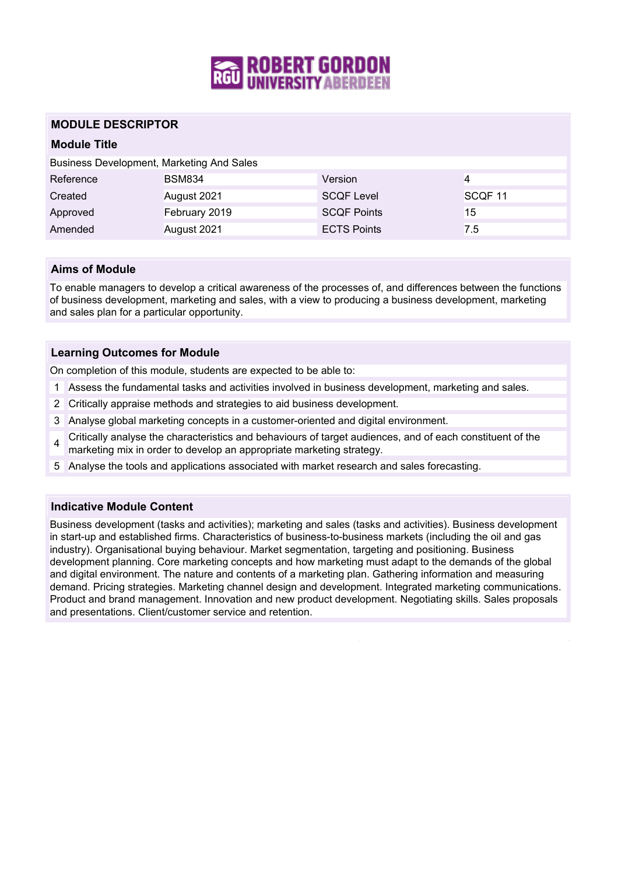

## **MODULE DESCRIPTOR**

## **Module Title**

| Business Development, Marketing And Sales |               |                    |                    |  |
|-------------------------------------------|---------------|--------------------|--------------------|--|
| Reference                                 | <b>BSM834</b> | Version            |                    |  |
| Created                                   | August 2021   | <b>SCQF Level</b>  | SCQF <sub>11</sub> |  |
| Approved                                  | February 2019 | <b>SCQF Points</b> | 15                 |  |
| Amended                                   | August 2021   | <b>ECTS Points</b> | 7.5                |  |

## **Aims of Module**

To enable managers to develop a critical awareness of the processes of, and differences between the functions of business development, marketing and sales, with a view to producing a business development, marketing and sales plan for a particular opportunity.

### **Learning Outcomes for Module**

On completion of this module, students are expected to be able to:

- 1 Assess the fundamental tasks and activities involved in business development, marketing and sales.
- 2 Critically appraise methods and strategies to aid business development.
- 3 Analyse global marketing concepts in a customer-oriented and digital environment.
- 4 Critically analyse the characteristics and behaviours of target audiences, and of each constituent of the marketing mix in order to develop an appropriate marketing strategy.
- 5 Analyse the tools and applications associated with market research and sales forecasting.

#### **Indicative Module Content**

Business development (tasks and activities); marketing and sales (tasks and activities). Business development in start-up and established firms. Characteristics of business-to-business markets (including the oil and gas industry). Organisational buying behaviour. Market segmentation, targeting and positioning. Business development planning. Core marketing concepts and how marketing must adapt to the demands of the global and digital environment. The nature and contents of a marketing plan. Gathering information and measuring demand. Pricing strategies. Marketing channel design and development. Integrated marketing communications. Product and brand management. Innovation and new product development. Negotiating skills. Sales proposals and presentations. Client/customer service and retention.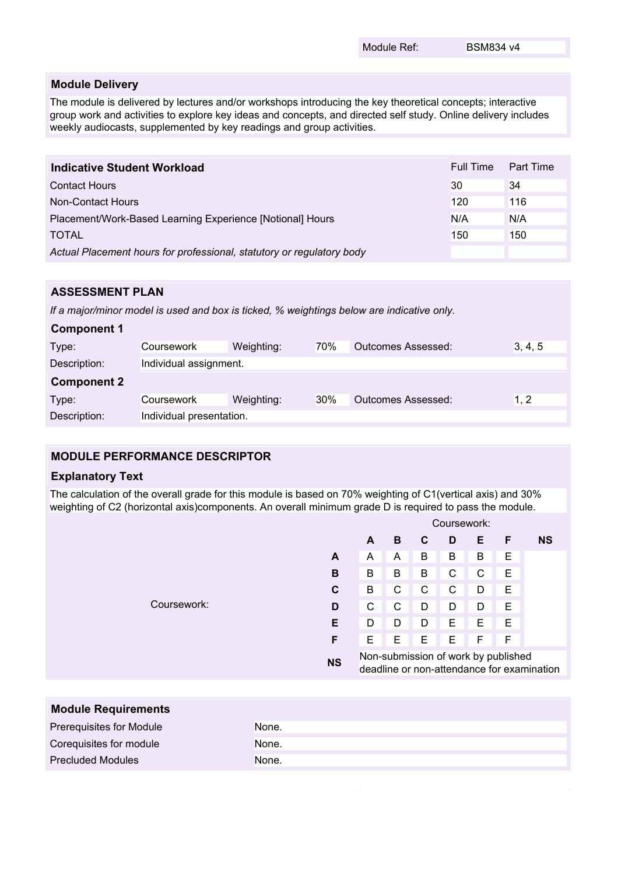#### **Module Delivery**

The module is delivered by lectures and/or workshops introducing the key theoretical concepts; interactive group work and activities to explore key ideas and concepts, and directed self study. Online delivery includes weekly audiocasts, supplemented by key readings and group activities.

| <b>Indicative Student Workload</b>                                    | Full Time | Part Time |
|-----------------------------------------------------------------------|-----------|-----------|
| <b>Contact Hours</b>                                                  | 30        | 34        |
| Non-Contact Hours                                                     | 120       | 116       |
| Placement/Work-Based Learning Experience [Notional] Hours             | N/A       | N/A       |
| <b>TOTAL</b>                                                          | 150       | 150       |
| Actual Placement hours for professional, statutory or regulatory body |           |           |

# **ASSESSMENT PLAN**

*If a major/minor model is used and box is ticked, % weightings below are indicative only.*

| <b>Component 1</b> |                          |            |     |                           |         |
|--------------------|--------------------------|------------|-----|---------------------------|---------|
| Type:              | Coursework               | Weighting: | 70% | <b>Outcomes Assessed:</b> | 3, 4, 5 |
| Description:       | Individual assignment.   |            |     |                           |         |
| <b>Component 2</b> |                          |            |     |                           |         |
| Type:              | Coursework               | Weighting: | 30% | <b>Outcomes Assessed:</b> | 1.2     |
| Description:       | Individual presentation. |            |     |                           |         |

## **MODULE PERFORMANCE DESCRIPTOR**

#### **Explanatory Text**

The calculation of the overall grade for this module is based on 70% weighting of C1(vertical axis) and 30% weighting of C2 (horizontal axis)components. An overall minimum grade D is required to pass the module.

|             |           | Coursework:                                                                       |   |   |              |   |   |           |
|-------------|-----------|-----------------------------------------------------------------------------------|---|---|--------------|---|---|-----------|
|             |           | A                                                                                 | B | C | D            | Е | F | <b>NS</b> |
|             | A         | A                                                                                 | A | B | B            | В | Е |           |
|             | В         | B                                                                                 | B | B | $\mathsf{C}$ | C | E |           |
|             | C         | B                                                                                 | C | C | $\mathsf{C}$ | D | E |           |
| Coursework: | D         | С                                                                                 | C | D | D            | D | E |           |
|             | Е         | D                                                                                 | D | D | E            | E | E |           |
|             | F         | E                                                                                 | Е | E | E            | F | F |           |
|             | <b>NS</b> | Non-submission of work by published<br>deadline or non-attendance for examination |   |   |              |   |   |           |
|             |           |                                                                                   |   |   |              |   |   |           |
|             |           |                                                                                   |   |   |              |   |   |           |

| <b>Module Requirements</b> |       |
|----------------------------|-------|
| Prerequisites for Module   | None. |
| Corequisites for module    | None. |
| <b>Precluded Modules</b>   | None. |